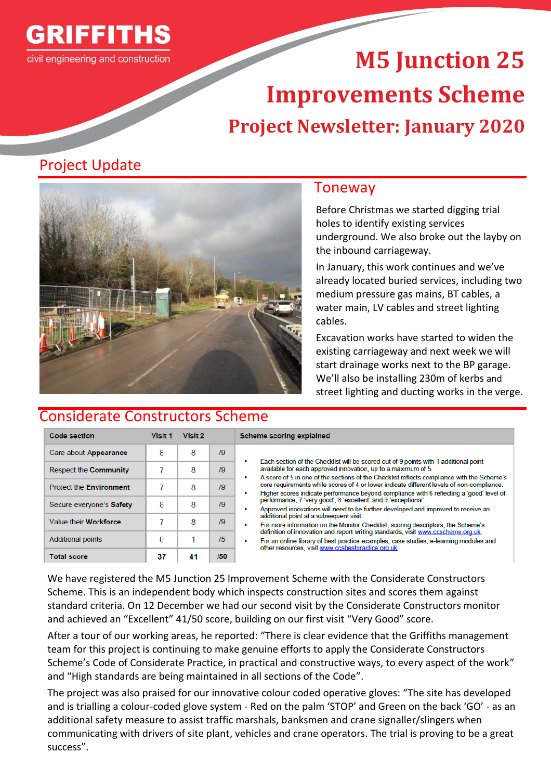

# **M5 Junction 25 Improvements Scheme Project Newsletter: January 2020**

# Project Update



### Considerate Constructors Scheme

### Toneway

Before Christmas we started digging trial holes to identify existing services underground. We also broke out the layby on the inbound carriageway.

In January, this work continues and we've already located buried services, including two medium pressure gas mains, BT cables, a water main, LV cables and street lighting cables.

Excavation works have started to widen the existing carriageway and next week we will start drainage works next to the BP garage. We'll also be installing 230m of kerbs and street lighting and ducting works in the verge.

| <b>Code section</b>            | <b>Visit 1</b> | Visit 2 |         | Scheme scoring explained                                                                                                                                                                                                                                                                                                                                                                                                                                                                                                                                                                                                                                                                                                                                                                                                                                                                                                                                                         |
|--------------------------------|----------------|---------|---------|----------------------------------------------------------------------------------------------------------------------------------------------------------------------------------------------------------------------------------------------------------------------------------------------------------------------------------------------------------------------------------------------------------------------------------------------------------------------------------------------------------------------------------------------------------------------------------------------------------------------------------------------------------------------------------------------------------------------------------------------------------------------------------------------------------------------------------------------------------------------------------------------------------------------------------------------------------------------------------|
| Care about Appearance          | 8              | 8       | 79      | Each section of the Checklist will be scored out of 9 points with 1 additional point<br>available for each approved innovation, up to a maximum of 5.<br>A score of 5 in one of the sections of the Checklist reflects compliance with the Scheme's<br>٠<br>core requirements while scores of 4 or lower indicate different levels of non-compliance.<br>Higher scores indicate performance beyond compliance with 6 reflecting a 'good' level of<br>performance, 7 'very good', 8 'excellent' and 9 'exceptional'.<br>Approved innovations will need to be further developed and improved to receive an<br>additional point at a subsequent visit.<br>For more information on the Monitor Checklist, scoring descriptors, the Scheme's<br>٠<br>definition of innovation and report writing standards, visit www.ccscheme.org.uk.<br>For an online library of best practice examples, case studies, e-learning modules and<br>other resources, visit www.ccsbestpractice.org.uk. |
| Respect the Community          |                | 8       | /9      |                                                                                                                                                                                                                                                                                                                                                                                                                                                                                                                                                                                                                                                                                                                                                                                                                                                                                                                                                                                  |
| <b>Protect the Environment</b> |                | 8       | /9      |                                                                                                                                                                                                                                                                                                                                                                                                                                                                                                                                                                                                                                                                                                                                                                                                                                                                                                                                                                                  |
| Secure everyone's Safety       | 8              | 8       | /9      |                                                                                                                                                                                                                                                                                                                                                                                                                                                                                                                                                                                                                                                                                                                                                                                                                                                                                                                                                                                  |
| Value their Workforce          |                | 8       | /9      |                                                                                                                                                                                                                                                                                                                                                                                                                                                                                                                                                                                                                                                                                                                                                                                                                                                                                                                                                                                  |
| <b>Additional points</b>       | 0              |         | /5      |                                                                                                                                                                                                                                                                                                                                                                                                                                                                                                                                                                                                                                                                                                                                                                                                                                                                                                                                                                                  |
| Total coore                    | 27             | 44      | $150 -$ |                                                                                                                                                                                                                                                                                                                                                                                                                                                                                                                                                                                                                                                                                                                                                                                                                                                                                                                                                                                  |

We have registered the M5 Junction 25 Improvement Scheme with the Considerate Constructors Scheme. This is an independent body which inspects construction sites and scores them against standard criteria. On 12 December we had our second visit by the Considerate Constructors monitor and achieved an "Excellent" 41/50 score, building on our first visit "Very Good" score.

After a tour of our working areas, he reported: "There is clear evidence that the Griffiths management team for this project is continuing to make genuine efforts to apply the Considerate Constructors Scheme's Code of Considerate Practice, in practical and constructive ways, to every aspect of the work" and "High standards are being maintained in all sections of the Code".

The project was also praised for our innovative colour coded operative gloves: "The site has developed and is trialling a colour-coded glove system - Red on the palm 'STOP' and Green on the back 'GO' - as an additional safety measure to assist traffic marshals, banksmen and crane signaller/slingers when communicating with drivers of site plant, vehicles and crane operators. The trial is proving to be a great success".